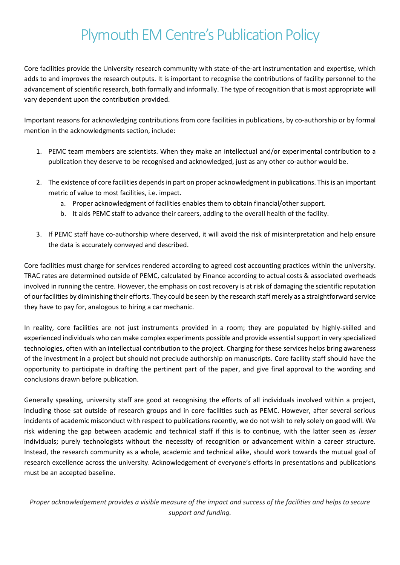## Plymouth EM Centre's Publication Policy

Core facilities provide the University research community with state-of-the-art instrumentation and expertise, which adds to and improves the research outputs. It is important to recognise the contributions of facility personnel to the advancement of scientific research, both formally and informally. The type of recognition that is most appropriate will vary dependent upon the contribution provided.

Important reasons for acknowledging contributions from core facilities in publications, by co-authorship or by formal mention in the acknowledgments section, include:

- 1. PEMC team members are scientists. When they make an intellectual and/or experimental contribution to a publication they deserve to be recognised and acknowledged, just as any other co-author would be.
- 2. The existence of core facilities depends in part on proper acknowledgment in publications. This is an important metric of value to most facilities, i.e. impact.
	- a. Proper acknowledgment of facilities enables them to obtain financial/other support.
	- b. It aids PEMC staff to advance their careers, adding to the overall health of the facility.
- 3. If PEMC staff have co-authorship where deserved, it will avoid the risk of misinterpretation and help ensure the data is accurately conveyed and described.

Core facilities must charge for services rendered according to agreed cost accounting practices within the university. TRAC rates are determined outside of PEMC, calculated by Finance according to actual costs & associated overheads involved in running the centre. However, the emphasis on cost recovery is at risk of damaging the scientific reputation of our facilities by diminishing their efforts. They could be seen by the research staff merely as a straightforward service they have to pay for, analogous to hiring a car mechanic.

In reality, core facilities are not just instruments provided in a room; they are populated by highly-skilled and experienced individuals who can make complex experiments possible and provide essential support in very specialized technologies, often with an intellectual contribution to the project. Charging for these services helps bring awareness of the investment in a project but should not preclude authorship on manuscripts. Core facility staff should have the opportunity to participate in drafting the pertinent part of the paper, and give final approval to the wording and conclusions drawn before publication.

Generally speaking, university staff are good at recognising the efforts of all individuals involved within a project, including those sat outside of research groups and in core facilities such as PEMC. However, after several serious incidents of academic misconduct with respect to publications recently, we do not wish to rely solely on good will. We risk widening the gap between academic and technical staff if this is to continue, with the latter seen as *lesser* individuals; purely technologists without the necessity of recognition or advancement within a career structure. Instead, the research community as a whole, academic and technical alike, should work towards the mutual goal of research excellence across the university. Acknowledgement of everyone's efforts in presentations and publications must be an accepted baseline.

*Proper acknowledgement provides a visible measure of the impact and success of the facilities and helps to secure support and funding.*